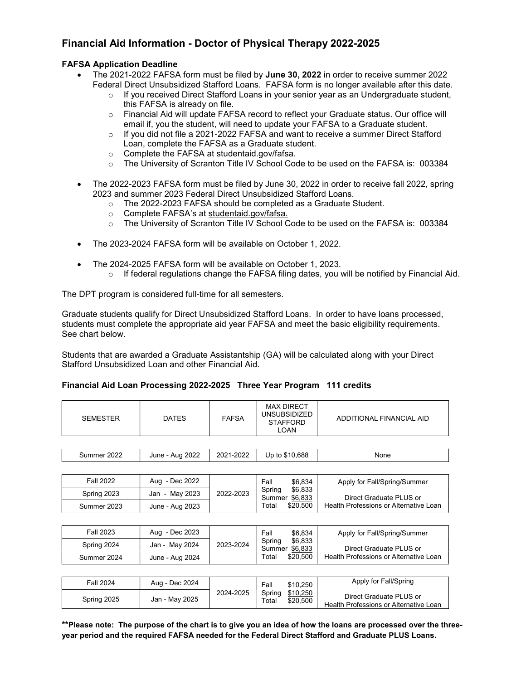# Financial Aid Information - Doctor of Physical Therapy 2022-2025

# FAFSA Application Deadline

- The 2021-2022 FAFSA form must be filed by June 30, 2022 in order to receive summer 2022 Federal Direct Unsubsidized Stafford Loans. FAFSA form is no longer available after this date.
	- o If you received Direct Stafford Loans in your senior year as an Undergraduate student, this FAFSA is already on file.
	- o Financial Aid will update FAFSA record to reflect your Graduate status. Our office will email if, you the student, will need to update your FAFSA to a Graduate student.
	- $\circ$  If you did not file a 2021-2022 FAFSA and want to receive a summer Direct Stafford Loan, complete the FAFSA as a Graduate student.
	- o Complete the FAFSA at studentaid.gov/fafsa.
	- o The University of Scranton Title IV School Code to be used on the FAFSA is: 003384
- The 2022-2023 FAFSA form must be filed by June 30, 2022 in order to receive fall 2022, spring 2023 and summer 2023 Federal Direct Unsubsidized Stafford Loans.
	- o The 2022-2023 FAFSA should be completed as a Graduate Student.
	- o Complete FAFSA's at studentaid.gov/fafsa.
	- o The University of Scranton Title IV School Code to be used on the FAFSA is: 003384
- The 2023-2024 FAFSA form will be available on October 1, 2022.
- The 2024-2025 FAFSA form will be available on October 1, 2023.
	- $\circ$  If federal regulations change the FAFSA filing dates, you will be notified by Financial Aid.

The DPT program is considered full-time for all semesters.

Graduate students qualify for Direct Unsubsidized Stafford Loans. In order to have loans processed, students must complete the appropriate aid year FAFSA and meet the basic eligibility requirements. See chart below.

Students that are awarded a Graduate Assistantship (GA) will be calculated along with your Direct Stafford Unsubsidized Loan and other Financial Aid.

## Financial Aid Loan Processing 2022-2025 Three Year Program 111 credits

| <b>SEMESTER</b>  | <b>DATES</b>    | <b>FAFSA</b> | <b>MAX DIRECT</b><br><b>UNSUBSIDIZED</b><br><b>STAFFORD</b><br><b>LOAN</b>     | ADDITIONAL FINANCIAL AID                                          |
|------------------|-----------------|--------------|--------------------------------------------------------------------------------|-------------------------------------------------------------------|
|                  |                 |              |                                                                                |                                                                   |
| Summer 2022      | June - Aug 2022 | 2021-2022    | Up to \$10,688                                                                 | None                                                              |
|                  |                 |              |                                                                                |                                                                   |
| <b>Fall 2022</b> | Aug - Dec 2022  | 2022-2023    | Fall<br>\$6,834<br>\$6,833<br>Spring<br>Summer \$6,833<br>\$20,500<br>Total    | Apply for Fall/Spring/Summer                                      |
| Spring 2023      | Jan - May 2023  |              |                                                                                | Direct Graduate PLUS or                                           |
| Summer 2023      | June - Aug 2023 |              |                                                                                | Health Professions or Alternative Loan                            |
|                  |                 |              |                                                                                |                                                                   |
| Fall 2023        | Aug - Dec 2023  | 2023-2024    | Fall<br>\$6,834<br>\$6,833<br>Spring<br>\$6,833<br>Summer<br>\$20,500<br>Total | Apply for Fall/Spring/Summer                                      |
| Spring 2024      | Jan - May 2024  |              |                                                                                | Direct Graduate PLUS or                                           |
| Summer 2024      | June - Aug 2024 |              |                                                                                | Health Professions or Alternative Loan                            |
|                  |                 |              |                                                                                |                                                                   |
| <b>Fall 2024</b> | Aug - Dec 2024  | 2024-2025    | Fall<br>\$10,250<br>\$10,250<br>Spring<br>\$20,500<br>Total                    | Apply for Fall/Spring                                             |
| Spring 2025      | Jan - May 2025  |              |                                                                                | Direct Graduate PLUS or<br>Health Professions or Alternative Loan |

\*\*Please note: The purpose of the chart is to give you an idea of how the loans are processed over the threeyear period and the required FAFSA needed for the Federal Direct Stafford and Graduate PLUS Loans.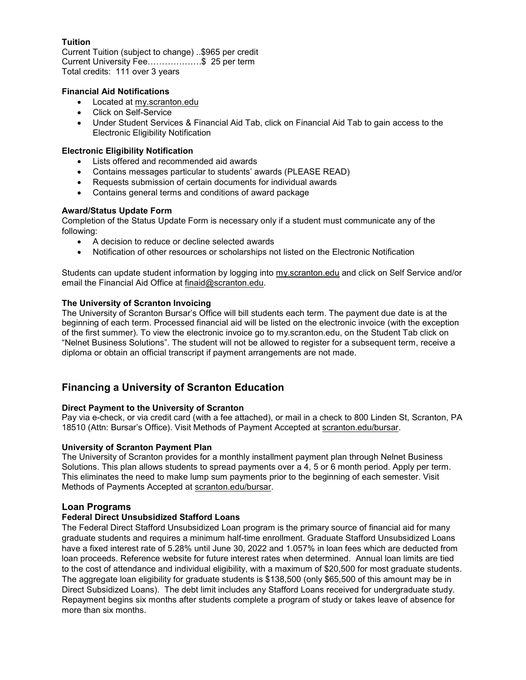# Tuition

Current Tuition (subject to change) ..\$965 per credit Current University Fee……………….\$ 25 per term Total credits: 111 over 3 years

# Financial Aid Notifications

- Located at my.scranton.edu
- Click on Self-Service
- Under Student Services & Financial Aid Tab, click on Financial Aid Tab to gain access to the Electronic Eligibility Notification

# Electronic Eligibility Notification

- Lists offered and recommended aid awards
- Contains messages particular to students' awards (PLEASE READ)
- Requests submission of certain documents for individual awards
- Contains general terms and conditions of award package

# Award/Status Update Form

Completion of the Status Update Form is necessary only if a student must communicate any of the following:

- A decision to reduce or decline selected awards
- Notification of other resources or scholarships not listed on the Electronic Notification

Students can update student information by logging into my.scranton.edu and click on Self Service and/or email the Financial Aid Office at finaid@scranton.edu.

# The University of Scranton Invoicing

The University of Scranton Bursar's Office will bill students each term. The payment due date is at the beginning of each term. Processed financial aid will be listed on the electronic invoice (with the exception of the first summer). To view the electronic invoice go to my.scranton.edu, on the Student Tab click on "Nelnet Business Solutions". The student will not be allowed to register for a subsequent term, receive a diploma or obtain an official transcript if payment arrangements are not made.

# Financing a University of Scranton Education

# Direct Payment to the University of Scranton

Pay via e-check, or via credit card (with a fee attached), or mail in a check to 800 Linden St, Scranton, PA 18510 (Attn: Bursar's Office). Visit Methods of Payment Accepted at scranton.edu/bursar.

## University of Scranton Payment Plan

The University of Scranton provides for a monthly installment payment plan through Nelnet Business Solutions. This plan allows students to spread payments over a 4, 5 or 6 month period. Apply per term. This eliminates the need to make lump sum payments prior to the beginning of each semester. Visit Methods of Payments Accepted at scranton.edu/bursar.

## Loan Programs

## Federal Direct Unsubsidized Stafford Loans

The Federal Direct Stafford Unsubsidized Loan program is the primary source of financial aid for many graduate students and requires a minimum half-time enrollment. Graduate Stafford Unsubsidized Loans have a fixed interest rate of 5.28% until June 30, 2022 and 1.057% in loan fees which are deducted from loan proceeds. Reference website for future interest rates when determined. Annual loan limits are tied to the cost of attendance and individual eligibility, with a maximum of \$20,500 for most graduate students. The aggregate loan eligibility for graduate students is \$138,500 (only \$65,500 of this amount may be in Direct Subsidized Loans). The debt limit includes any Stafford Loans received for undergraduate study. Repayment begins six months after students complete a program of study or takes leave of absence for more than six months.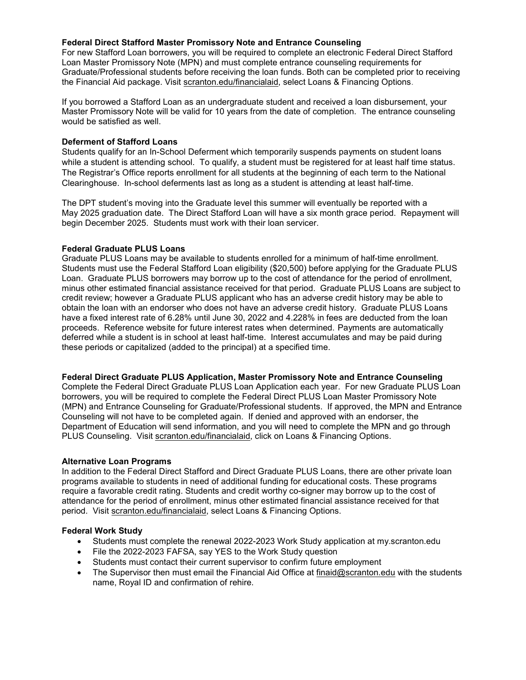## Federal Direct Stafford Master Promissory Note and Entrance Counseling

For new Stafford Loan borrowers, you will be required to complete an electronic Federal Direct Stafford Loan Master Promissory Note (MPN) and must complete entrance counseling requirements for Graduate/Professional students before receiving the loan funds. Both can be completed prior to receiving the Financial Aid package. Visit scranton.edu/financialaid, select Loans & Financing Options.

If you borrowed a Stafford Loan as an undergraduate student and received a loan disbursement, your Master Promissory Note will be valid for 10 years from the date of completion. The entrance counseling would be satisfied as well.

#### Deferment of Stafford Loans

Students qualify for an In-School Deferment which temporarily suspends payments on student loans while a student is attending school. To qualify, a student must be registered for at least half time status. The Registrar's Office reports enrollment for all students at the beginning of each term to the National Clearinghouse. In-school deferments last as long as a student is attending at least half-time.

The DPT student's moving into the Graduate level this summer will eventually be reported with a May 2025 graduation date. The Direct Stafford Loan will have a six month grace period. Repayment will begin December 2025. Students must work with their loan servicer.

#### Federal Graduate PLUS Loans

Graduate PLUS Loans may be available to students enrolled for a minimum of half-time enrollment. Students must use the Federal Stafford Loan eligibility (\$20,500) before applying for the Graduate PLUS Loan. Graduate PLUS borrowers may borrow up to the cost of attendance for the period of enrollment, minus other estimated financial assistance received for that period. Graduate PLUS Loans are subject to credit review; however a Graduate PLUS applicant who has an adverse credit history may be able to obtain the loan with an endorser who does not have an adverse credit history. Graduate PLUS Loans have a fixed interest rate of 6.28% until June 30, 2022 and 4.228% in fees are deducted from the loan proceeds. Reference website for future interest rates when determined. Payments are automatically deferred while a student is in school at least half-time. Interest accumulates and may be paid during these periods or capitalized (added to the principal) at a specified time.

#### Federal Direct Graduate PLUS Application, Master Promissory Note and Entrance Counseling

Complete the Federal Direct Graduate PLUS Loan Application each year. For new Graduate PLUS Loan borrowers, you will be required to complete the Federal Direct PLUS Loan Master Promissory Note (MPN) and Entrance Counseling for Graduate/Professional students. If approved, the MPN and Entrance Counseling will not have to be completed again. If denied and approved with an endorser, the Department of Education will send information, and you will need to complete the MPN and go through PLUS Counseling. Visit scranton.edu/financialaid, click on Loans & Financing Options.

## Alternative Loan Programs

In addition to the Federal Direct Stafford and Direct Graduate PLUS Loans, there are other private loan programs available to students in need of additional funding for educational costs. These programs require a favorable credit rating. Students and credit worthy co-signer may borrow up to the cost of attendance for the period of enrollment, minus other estimated financial assistance received for that period. Visit scranton.edu/financialaid, select Loans & Financing Options.

## Federal Work Study

- Students must complete the renewal 2022-2023 Work Study application at my.scranton.edu
- File the 2022-2023 FAFSA, say YES to the Work Study question
- Students must contact their current supervisor to confirm future employment
- The Supervisor then must email the Financial Aid Office at finaid@scranton.edu with the students name, Royal ID and confirmation of rehire.